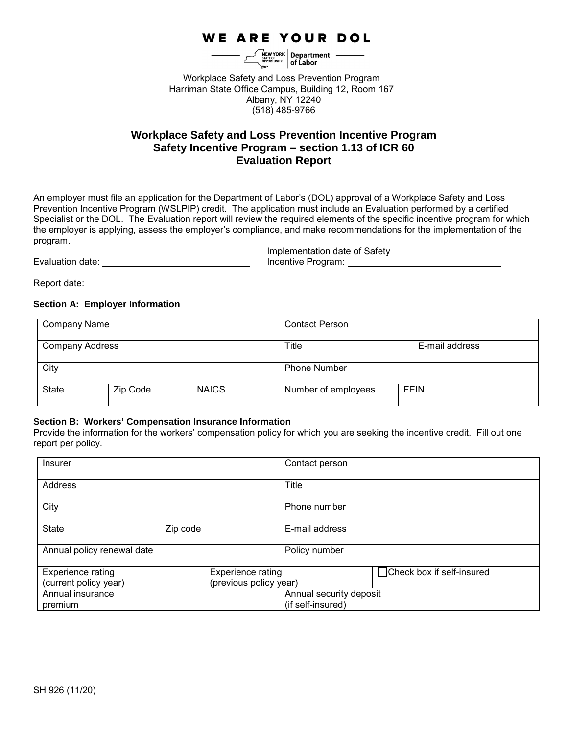## **WE ARE YOUR DOL**

 $\mathcal{L}$   $\mathcal{L}$   $\mathcal{L}$   $\mathcal{L}$   $\mathcal{L}$   $\mathcal{L}$   $\mathcal{L}$   $\mathcal{L}$   $\mathcal{L}$   $\mathcal{L}$   $\mathcal{L}$   $\mathcal{L}$   $\mathcal{L}$   $\mathcal{L}$   $\mathcal{L}$   $\mathcal{L}$   $\mathcal{L}$   $\mathcal{L}$   $\mathcal{L}$   $\mathcal{L}$   $\mathcal{L}$   $\mathcal{L}$   $\mathcal{L}$   $\mathcal{L}$   $\mathcal{$ 

Workplace Safety and Loss Prevention Program Harriman State Office Campus, Building 12, Room 167 Albany, NY 12240 (518) 485-9766

## **Workplace Safety and Loss Prevention Incentive Program Safety Incentive Program – section 1.13 of ICR 60 Evaluation Report**

An employer must file an application for the Department of Labor's (DOL) approval of a Workplace Safety and Loss Prevention Incentive Program (WSLPIP) credit. The application must include an Evaluation performed by a certified Specialist or the DOL. The Evaluation report will review the required elements of the specific incentive program for which the employer is applying, assess the employer's compliance, and make recommendations for the implementation of the program.

Evaluation date: Incentive Program:

Implementation date of Safety

Report date:

#### **Section A: Employer Information**

| Company Name           |          |                     | <b>Contact Person</b>   |             |  |
|------------------------|----------|---------------------|-------------------------|-------------|--|
| <b>Company Address</b> |          |                     | Title<br>E-mail address |             |  |
| City                   |          | <b>Phone Number</b> |                         |             |  |
| <b>State</b>           | Zip Code | <b>NAICS</b>        | Number of employees     | <b>FEIN</b> |  |

#### **Section B: Workers' Compensation Insurance Information**

Provide the information for the workers' compensation policy for which you are seeking the incentive credit. Fill out one report per policy.

| Insurer                                              |  | Contact person          |                            |
|------------------------------------------------------|--|-------------------------|----------------------------|
| Address                                              |  | Title                   |                            |
| City                                                 |  | Phone number            |                            |
| <b>State</b><br>Zip code                             |  | E-mail address          |                            |
| Annual policy renewal date                           |  | Policy number           |                            |
| <b>Experience rating</b><br><b>Experience rating</b> |  |                         | □Check box if self-insured |
| (previous policy year)<br>(current policy year)      |  |                         |                            |
| Annual insurance                                     |  | Annual security deposit |                            |
| premium                                              |  | (if self-insured)       |                            |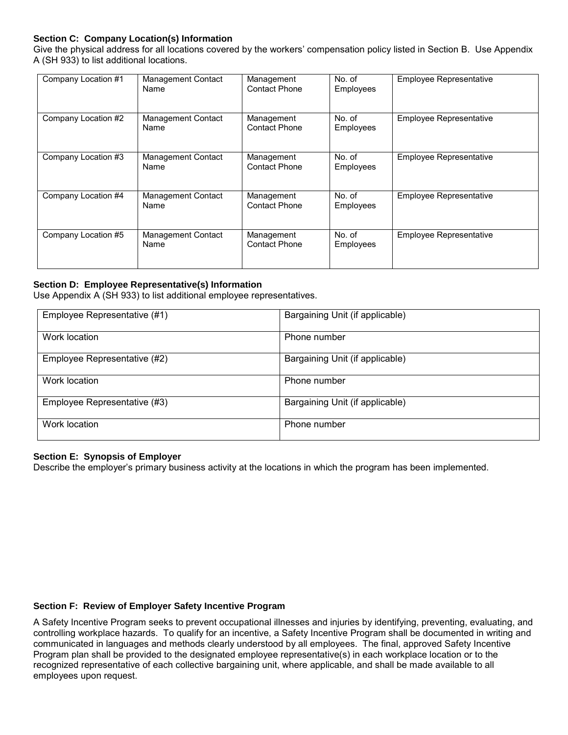## **Section C: Company Location(s) Information**

Give the physical address for all locations covered by the workers' compensation policy listed in Section B. Use Appendix A (SH 933) to list additional locations.

| Company Location #1 | <b>Management Contact</b><br>Name | Management<br><b>Contact Phone</b> | No. of<br>Employees | <b>Employee Representative</b> |
|---------------------|-----------------------------------|------------------------------------|---------------------|--------------------------------|
| Company Location #2 | <b>Management Contact</b><br>Name | Management<br><b>Contact Phone</b> | No. of<br>Employees | Employee Representative        |
| Company Location #3 | <b>Management Contact</b><br>Name | Management<br><b>Contact Phone</b> | No. of<br>Employees | <b>Employee Representative</b> |
| Company Location #4 | <b>Management Contact</b><br>Name | Management<br><b>Contact Phone</b> | No. of<br>Employees | <b>Employee Representative</b> |
| Company Location #5 | <b>Management Contact</b><br>Name | Management<br><b>Contact Phone</b> | No. of<br>Employees | <b>Employee Representative</b> |

## **Section D: Employee Representative(s) Information**

Use Appendix A (SH 933) to list additional employee representatives.

| Employee Representative (#1) | Bargaining Unit (if applicable) |
|------------------------------|---------------------------------|
| Work location                | Phone number                    |
| Employee Representative (#2) | Bargaining Unit (if applicable) |
| Work location                | Phone number                    |
| Employee Representative (#3) | Bargaining Unit (if applicable) |
| Work location                | Phone number                    |

### **Section E: Synopsis of Employer**

Describe the employer's primary business activity at the locations in which the program has been implemented.

#### **Section F: Review of Employer Safety Incentive Program**

A Safety Incentive Program seeks to prevent occupational illnesses and injuries by identifying, preventing, evaluating, and controlling workplace hazards. To qualify for an incentive, a Safety Incentive Program shall be documented in writing and communicated in languages and methods clearly understood by all employees. The final, approved Safety Incentive Program plan shall be provided to the designated employee representative(s) in each workplace location or to the recognized representative of each collective bargaining unit, where applicable, and shall be made available to all employees upon request.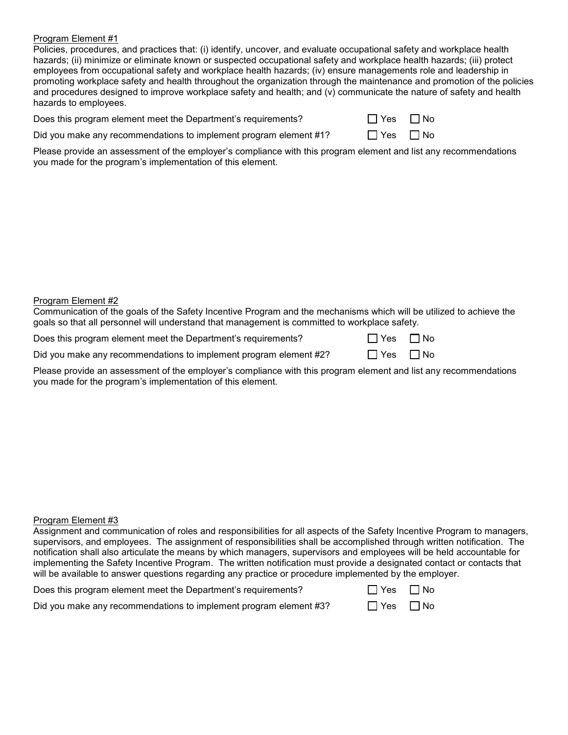Policies, procedures, and practices that: (i) identify, uncover, and evaluate occupational safety and workplace health hazards; (ii) minimize or eliminate known or suspected occupational safety and workplace health hazards; (iii) protect employees from occupational safety and workplace health hazards; (iv) ensure managements role and leadership in promoting workplace safety and health throughout the organization through the maintenance and promotion of the policies and procedures designed to improve workplace safety and health; and (v) communicate the nature of safety and health hazards to employees.

Does this program element meet the Department's requirements?  $\Box$  Yes  $\Box$  No

| Yes | $\Box$ Nc |
|-----|-----------|
|     |           |

Did you make any recommendations to implement program element #1? Yes No

Please provide an assessment of the employer's compliance with this program element and list any recommendations you made for the program's implementation of this element.

## Program Element #2

Communication of the goals of the Safety Incentive Program and the mechanisms which will be utilized to achieve the goals so that all personnel will understand that management is committed to workplace safety.

| Does this program element meet the Department's requirements? | $\Box$ Yes $\Box$ No |  |
|---------------------------------------------------------------|----------------------|--|
|                                                               |                      |  |

| Did you make any recommendations to implement program element #2? | $\Box$ Yes $\Box$ No |  |
|-------------------------------------------------------------------|----------------------|--|
|-------------------------------------------------------------------|----------------------|--|

Please provide an assessment of the employer's compliance with this program element and list any recommendations you made for the program's implementation of this element.

## Program Element #3

| Assignment and communication of roles and responsibilities for all aspects of the Safety Incentive Program to managers, |
|-------------------------------------------------------------------------------------------------------------------------|
| supervisors, and employees. The assignment of responsibilities shall be accomplished through written notification. The  |
| notification shall also articulate the means by which managers, supervisors and employees will be held accountable for  |
| implementing the Safety Incentive Program. The written notification must provide a designated contact or contacts that  |
| will be available to answer questions regarding any practice or procedure implemented by the employer.                  |

| Does this program element meet the Department's requirements?     | $\Box$ Yes $\Box$ No |  |
|-------------------------------------------------------------------|----------------------|--|
| Did you make any recommendations to implement program element #3? | $\Box$ Yes $\Box$ No |  |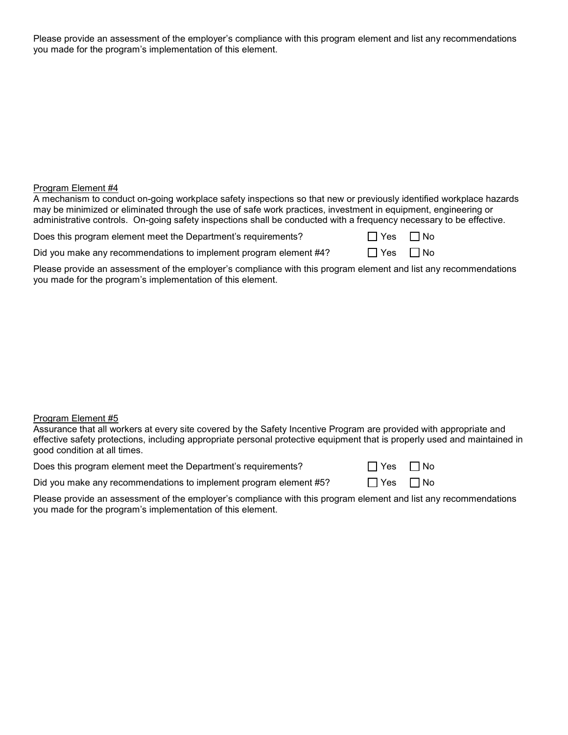Please provide an assessment of the employer's compliance with this program element and list any recommendations you made for the program's implementation of this element.

## Program Element #4

A mechanism to conduct on-going workplace safety inspections so that new or previously identified workplace hazards may be minimized or eliminated through the use of safe work practices, investment in equipment, engineering or administrative controls. On-going safety inspections shall be conducted with a frequency necessary to be effective.

Does this program element meet the Department's requirements?

| פכ | N٥ |
|----|----|
|    |    |

Did you make any recommendations to implement program element  $\#4$ ?  $\Box$  Yes  $\Box$  No

Please provide an assessment of the employer's compliance with this program element and list any recommendations you made for the program's implementation of this element.

## Program Element #5

Assurance that all workers at every site covered by the Safety Incentive Program are provided with appropriate and effective safety protections, including appropriate personal protective equipment that is properly used and maintained in good condition at all times.

| Does this program element meet the Department's requirements? | $\Box$ Yes $\Box$ No |  |
|---------------------------------------------------------------|----------------------|--|
|---------------------------------------------------------------|----------------------|--|

| 7 Yes | $\Box$ No |
|-------|-----------|
| T Yes | ⊟ No      |

Did you make any recommendations to implement program element #5?  $\Box$  Yes  $\Box$  No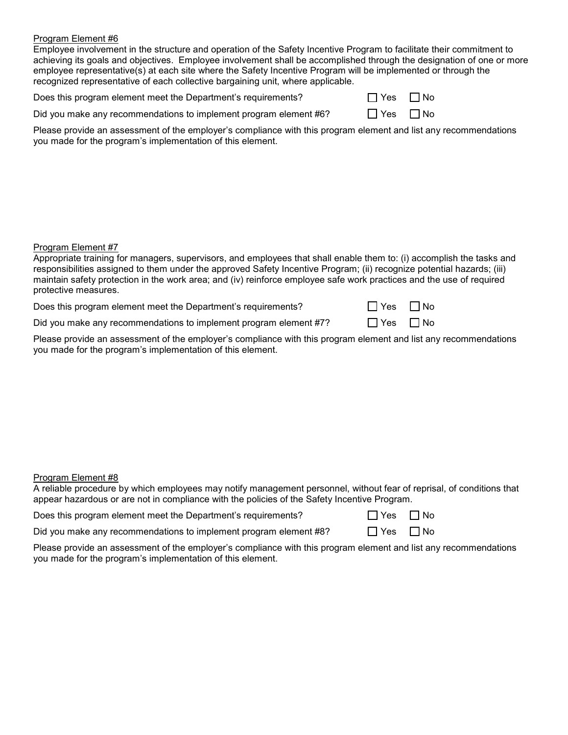Employee involvement in the structure and operation of the Safety Incentive Program to facilitate their commitment to achieving its goals and objectives. Employee involvement shall be accomplished through the designation of one or more employee representative(s) at each site where the Safety Incentive Program will be implemented or through the recognized representative of each collective bargaining unit, where applicable.

| Does this program element meet the Department's requirements? | $\Box$ Yes $\Box$ No |  |
|---------------------------------------------------------------|----------------------|--|
|---------------------------------------------------------------|----------------------|--|

| Did you make any recommendations to implement program element #6? | $\Box$ Yes $\Box$ No |  |
|-------------------------------------------------------------------|----------------------|--|
|-------------------------------------------------------------------|----------------------|--|

| YAS | N٥<br>ı |
|-----|---------|
|-----|---------|

Please provide an assessment of the employer's compliance with this program element and list any recommendations you made for the program's implementation of this element.

## Program Element #7

| Appropriate training for managers, supervisors, and employees that shall enable them to: (i) accomplish the tasks and  |
|------------------------------------------------------------------------------------------------------------------------|
| responsibilities assigned to them under the approved Safety Incentive Program; (ii) recognize potential hazards; (iii) |
| maintain safety protection in the work area; and (iv) reinforce employee safe work practices and the use of required   |
| protective measures.                                                                                                   |

Does this program element meet the Department's requirements?  $\Box$  Yes  $\Box$  No

Did you make any recommendations to implement program element #7?  $\Box$  Yes  $\Box$  No

Please provide an assessment of the employer's compliance with this program element and list any recommendations you made for the program's implementation of this element.

## Program Element #8

| A reliable procedure by which employees may notify management personnel, without fear of reprisal, of conditions that |  |
|-----------------------------------------------------------------------------------------------------------------------|--|
| appear hazardous or are not in compliance with the policies of the Safety Incentive Program.                          |  |

| Does this program element meet the Department's requirements? | $\Box$ Yes $\Box$ No |  |
|---------------------------------------------------------------|----------------------|--|
|---------------------------------------------------------------|----------------------|--|

|  |  |  | Did you make any recommendations to implement program element #8? |  | $\Box$ Yes $\Box$ No |
|--|--|--|-------------------------------------------------------------------|--|----------------------|
|--|--|--|-------------------------------------------------------------------|--|----------------------|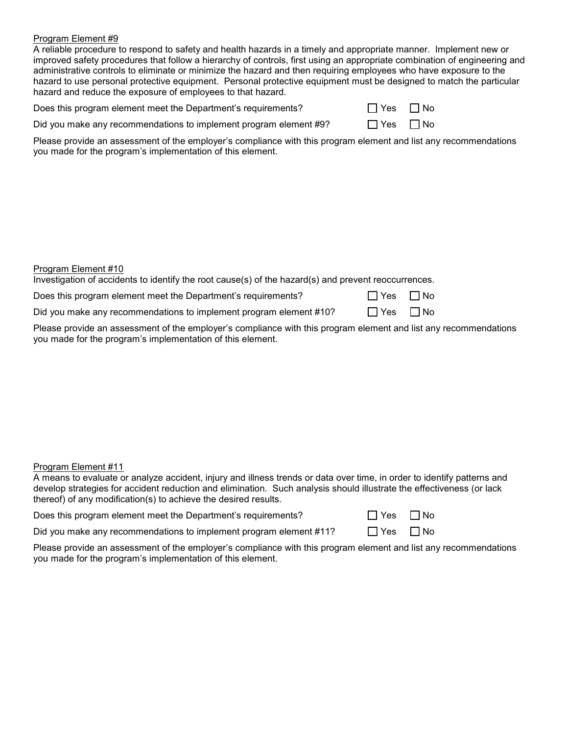A reliable procedure to respond to safety and health hazards in a timely and appropriate manner. Implement new or improved safety procedures that follow a hierarchy of controls, first using an appropriate combination of engineering and administrative controls to eliminate or minimize the hazard and then requiring employees who have exposure to the hazard to use personal protective equipment. Personal protective equipment must be designed to match the particular hazard and reduce the exposure of employees to that hazard.

Does this program element meet the Department's requirements?

| Yes |  | ∏ No |
|-----|--|------|
|-----|--|------|

Did you make any recommendations to implement program element #9?  $\Box$  Yes  $\Box$  No

Please provide an assessment of the employer's compliance with this program element and list any recommendations you made for the program's implementation of this element.

## Program Element #10

Investigation of accidents to identify the root cause(s) of the hazard(s) and prevent reoccurrences.

Does this program element meet the Department's requirements?  $\Box$  Yes  $\Box$  No

Did you make any recommendations to implement program element #10?  $\Box$  Yes  $\Box$  No

Please provide an assessment of the employer's compliance with this program element and list any recommendations you made for the program's implementation of this element.

## Program Element #11

A means to evaluate or analyze accident, injury and illness trends or data over time, in order to identify patterns and develop strategies for accident reduction and elimination. Such analysis should illustrate the effectiveness (or lack thereof) of any modification(s) to achieve the desired results.

| Does this program element meet the Department's requirements? | $\Box$ Yes $\Box$ No |  |
|---------------------------------------------------------------|----------------------|--|
|---------------------------------------------------------------|----------------------|--|

Did you make any recommendations to implement program element  $\#11$ ?  $\Box$  Yes  $\Box$  No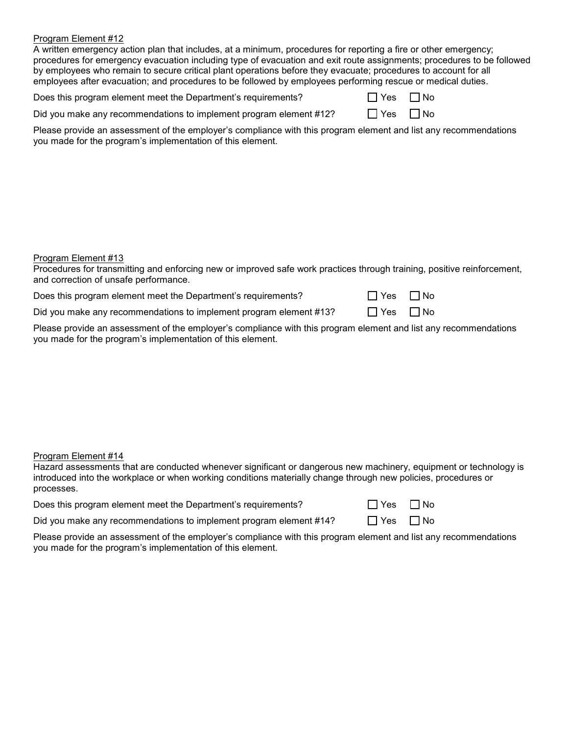A written emergency action plan that includes, at a minimum, procedures for reporting a fire or other emergency; procedures for emergency evacuation including type of evacuation and exit route assignments; procedures to be followed by employees who remain to secure critical plant operations before they evacuate; procedures to account for all employees after evacuation; and procedures to be followed by employees performing rescue or medical duties.

| Does this program element meet the Department's requirements? | $\Box$ Yes $\Box$ No |  |
|---------------------------------------------------------------|----------------------|--|
|---------------------------------------------------------------|----------------------|--|

Did you make any recommendations to implement program element #12?  $\Box$  Yes  $\Box$  No

Please provide an assessment of the employer's compliance with this program element and list any recommendations you made for the program's implementation of this element.

## Program Element #13

Procedures for transmitting and enforcing new or improved safe work practices through training, positive reinforcement, and correction of unsafe performance.

Does this program element meet the Department's requirements?  $\Box$ 

Did you make any recommendations to implement program element #13?  $\Box$  Yes  $\Box$  No

Please provide an assessment of the employer's compliance with this program element and list any recommendations you made for the program's implementation of this element.

## Program Element #14

Hazard assessments that are conducted whenever significant or dangerous new machinery, equipment or technology is introduced into the workplace or when working conditions materially change through new policies, procedures or processes.

Does this program element meet the Department's requirements?

| ∏ Yes | $\Box$ No |
|-------|-----------|
| 7 Yes | ΠN∩       |

Did you make any recommendations to implement program element  $\#14$ ?  $\Box$  Yes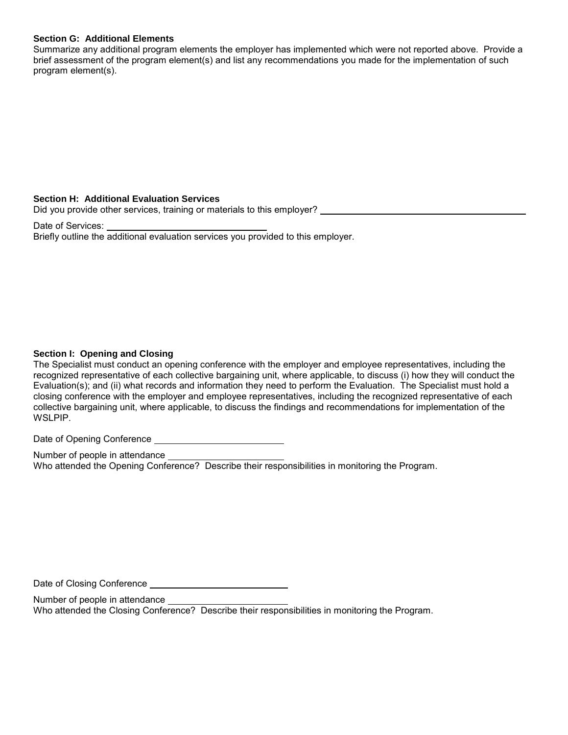## **Section G: Additional Elements**

Summarize any additional program elements the employer has implemented which were not reported above. Provide a brief assessment of the program element(s) and list any recommendations you made for the implementation of such program element(s).

## **Section H: Additional Evaluation Services**

Did you provide other services, training or materials to this employer?

Date of Services: Briefly outline the additional evaluation services you provided to this employer.

## **Section I: Opening and Closing**

The Specialist must conduct an opening conference with the employer and employee representatives, including the recognized representative of each collective bargaining unit, where applicable, to discuss (i) how they will conduct the Evaluation(s); and (ii) what records and information they need to perform the Evaluation. The Specialist must hold a closing conference with the employer and employee representatives, including the recognized representative of each collective bargaining unit, where applicable, to discuss the findings and recommendations for implementation of the WSLPIP.

Date of Opening Conference

Number of people in attendance Who attended the Opening Conference? Describe their responsibilities in monitoring the Program.

Date of Closing Conference

Number of people in attendance Who attended the Closing Conference? Describe their responsibilities in monitoring the Program.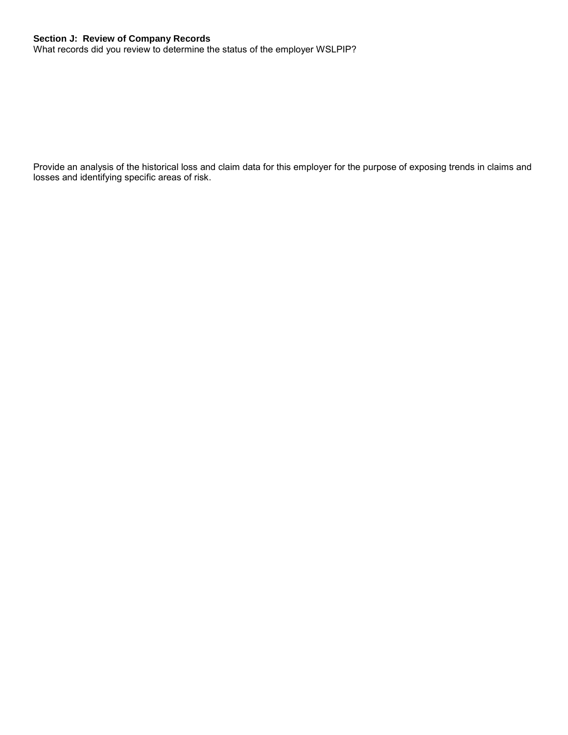# **Section J: Review of Company Records**

What records did you review to determine the status of the employer WSLPIP?

Provide an analysis of the historical loss and claim data for this employer for the purpose of exposing trends in claims and losses and identifying specific areas of risk.